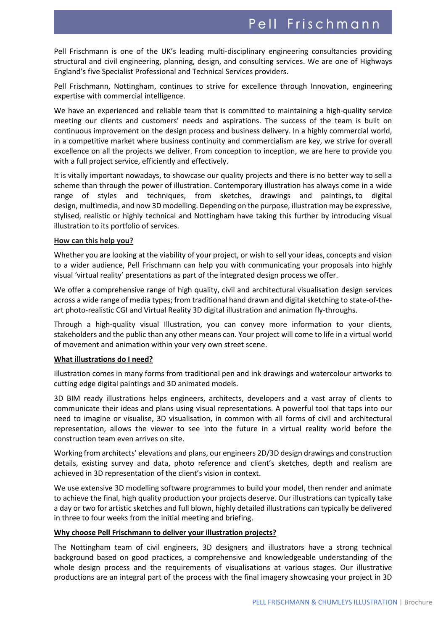Pell Frischmann is one of the UK's leading multi-disciplinary engineering consultancies providing structural and civil engineering, planning, design, and consulting services. We are one of Highways England's five Specialist Professional and Technical Services providers.

Pell Frischmann, Nottingham, continues to strive for excellence through Innovation, engineering expertise with commercial intelligence.

We have an experienced and reliable team that is committed to maintaining a high-quality service meeting our clients and customers' needs and aspirations. The success of the team is built on continuous improvement on the design process and business delivery. In a highly commercial world, in a competitive market where business continuity and commercialism are key, we strive for overall excellence on all the projects we deliver. From conception to inception, we are here to provide you with a full project service, efficiently and effectively.

It is vitally important nowadays, to showcase our quality projects and there is no better way to sell a scheme than through the power of illustration. Contemporary illustration has always come in a wide range of styles and techniques, from sketches, drawings and paintings, to digital design, multimedia, and now 3D modelling. Depending on the purpose, illustration may be expressive, stylised, realistic or highly technical and Nottingham have taking this further by introducing visual illustration to its portfolio of services.

#### **How can this help you?**

Whether you are looking at the viability of your project, or wish to sell your ideas, concepts and vision to a wider audience, Pell Frischmann can help you with communicating your proposals into highly visual 'virtual reality' presentations as part of the integrated design process we offer.

We offer a comprehensive range of high quality, civil and architectural visualisation design services across a wide range of media types; from traditional hand drawn and digital sketching to state-of-theart photo-realistic CGI and Virtual Reality 3D digital illustration and animation fly-throughs.

Through a high-quality visual Illustration, you can convey more information to your clients, stakeholders and the public than any other means can. Your project will come to life in a virtual world of movement and animation within your very own street scene.

#### **What illustrations do I need?**

Illustration comes in many forms from traditional pen and ink drawings and watercolour artworks to cutting edge digital paintings and 3D animated models.

3D BIM ready illustrations helps engineers, architects, developers and a vast array of clients to communicate their ideas and plans using visual representations. A powerful tool that taps into our need to imagine or visualise, 3D visualisation, in common with all forms of civil and architectural representation, allows the viewer to see into the future in a virtual reality world before the construction team even arrives on site.

Working from architects' elevations and plans, our engineers 2D/3D design drawings and construction details, existing survey and data, photo reference and client's sketches, depth and realism are achieved in 3D representation of the client's vision in context.

We use extensive 3D modelling software programmes to build your model, then render and animate to achieve the final, high quality production your projects deserve. Our illustrations can typically take a day or two for artistic sketches and full blown, highly detailed illustrations can typically be delivered in three to four weeks from the initial meeting and briefing.

#### **Why choose Pell Frischmann to deliver your illustration projects?**

The Nottingham team of civil engineers, 3D designers and illustrators have a strong technical background based on good practices, a comprehensive and knowledgeable understanding of the whole design process and the requirements of visualisations at various stages. Our illustrative productions are an integral part of the process with the final imagery showcasing your project in 3D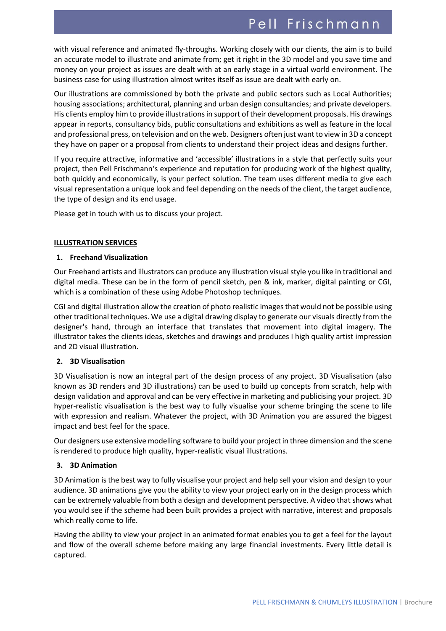# Pell Frischmann

with visual reference and animated fly-throughs. Working closely with our clients, the aim is to build an accurate model to illustrate and animate from; get it right in the 3D model and you save time and money on your project as issues are dealt with at an early stage in a virtual world environment. The business case for using illustration almost writes itself as issue are dealt with early on.

Our illustrations are commissioned by both the private and public sectors such as Local Authorities; housing associations; architectural, planning and urban design consultancies; and private developers. His clients employ him to provide illustrations in support of their development proposals. His drawings appear in reports, consultancy bids, public consultations and exhibitions as well as feature in the local and professional press, on television and on the web. Designers often just want to view in 3D a concept they have on paper or a proposal from clients to understand their project ideas and designs further.

If you require attractive, informative and 'accessible' illustrations in a style that perfectly suits your project, then Pell Frischmann's experience and reputation for producing work of the highest quality, both quickly and economically, is your perfect solution. The team uses different media to give each visual representation a unique look and feel depending on the needs of the client, the target audience, the type of design and its end usage.

Please get in touch with us to discuss your project.

## **ILLUSTRATION SERVICES**

## **1. Freehand Visualization**

Our Freehand artists and illustrators can produce any illustration visual style you like in traditional and digital media. These can be in the form of pencil sketch, pen & ink, marker, digital painting or CGI, which is a combination of these using Adobe Photoshop techniques.

CGI and digital illustration allow the creation of photo realistic images that would not be possible using other traditional techniques. We use a digital drawing display to generate our visuals directly from the designer's hand, through an interface that translates that movement into digital imagery. The illustrator takes the clients ideas, sketches and drawings and produces I high quality artist impression and 2D visual illustration.

# **2. 3D Visualisation**

3D Visualisation is now an integral part of the design process of any project. 3D Visualisation (also known as 3D renders and 3D illustrations) can be used to build up concepts from scratch, help with design validation and approval and can be very effective in marketing and publicising your project. 3D hyper-realistic visualisation is the best way to fully visualise your scheme bringing the scene to life with expression and realism. Whatever the project, with 3D Animation you are assured the biggest impact and best feel for the space.

Our designers use extensive modelling software to build your project in three dimension and the scene is rendered to produce high quality, hyper-realistic visual illustrations.

# **3. 3D Animation**

3D Animation is the best way to fully visualise your project and help sell your vision and design to your audience. 3D animations give you the ability to view your project early on in the design process which can be extremely valuable from both a design and development perspective. A video that shows what you would see if the scheme had been built provides a project with narrative, interest and proposals which really come to life.

Having the ability to view your project in an animated format enables you to get a feel for the layout and flow of the overall scheme before making any large financial investments. Every little detail is captured.